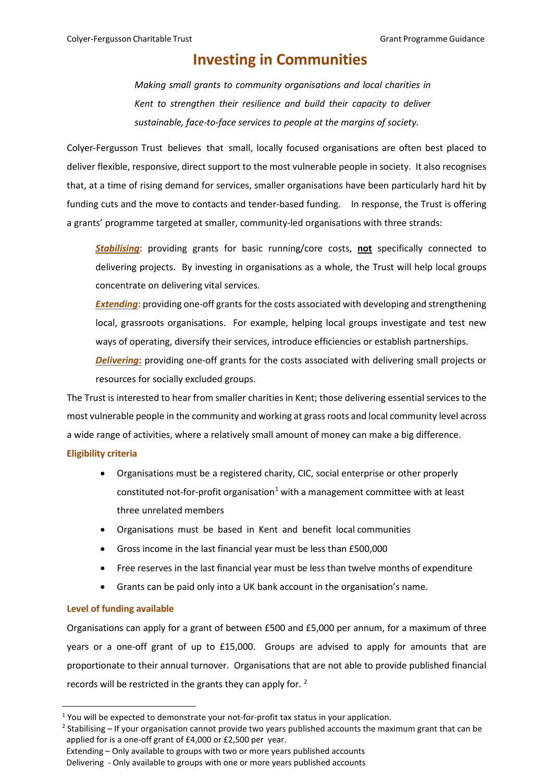# **Investing in Communities**

*Making small grants to community organisations and local charities in Kent to strengthen their resilience and build their capacity to deliver sustainable, face-to-face services to people at the margins of society.*

Colyer-Fergusson Trust believes that small, locally focused organisations are often best placed to deliver flexible, responsive, direct support to the most vulnerable people in society. It also recognises that, at a time of rising demand for services, smaller organisations have been particularly hard hit by funding cuts and the move to contacts and tender-based funding. In response, the Trust is offering a grants' programme targeted at smaller, community-led organisations with three strands:

*Stabilising*: providing grants for basic running/core costs, **not** specifically connected to delivering projects. By investing in organisations as a whole, the Trust will help local groups concentrate on delivering vital services.

*Extending*: providing one-off grants for the costs associated with developing and strengthening local, grassroots organisations. For example, helping local groups investigate and test new ways of operating, diversify their services, introduce efficiencies or establish partnerships.

*Delivering***:** providing one-off grants for the costs associated with delivering small projects or resources for socially excluded groups.

The Trust is interested to hear from smaller charities in Kent; those delivering essential services to the most vulnerable people in the community and working at grass roots and local community level across a wide range of activities, where a relatively small amount of money can make a big difference. **Eligibility criteria**

- Organisations must be a registered charity, CIC, social enterprise or other properly constituted not-for-profit organisation<sup>[1](#page-0-0)</sup> with a management committee with at least three unrelated members
- Organisations must be based in Kent and benefit local communities
- Gross income in the last financial year must be less than £500,000
- Free reserves in the last financial year must be less than twelve months of expenditure
- Grants can be paid only into a UK bank account in the organisation's name.

# **Level of funding available**

Organisations can apply for a grant of between £500 and £5,000 per annum, for a maximum of three years or a one-off grant of up to £15,000. Groups are advised to apply for amounts that are proportionate to their annual turnover. Organisations that are not able to provide published financial records will be restricted in the grants they can apply for. [2](#page-0-1)

<span id="page-0-0"></span> $<sup>1</sup>$  You will be expected to demonstrate your not-for-profit tax status in your application.</sup>

<span id="page-0-1"></span> $2$  Stabilising – If your organisation cannot provide two years published accounts the maximum grant that can be applied for is a one-off grant of £4,000 or £2,500 per year.

Extending – Only available to groups with two or more years published accounts

Delivering - Only available to groups with one or more years published accounts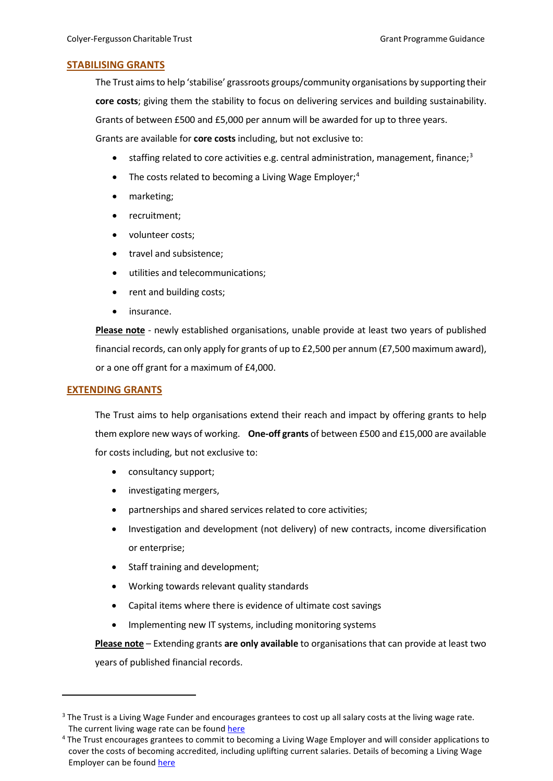# **STABILISING GRANTS**

The Trust aims to help 'stabilise' grassroots groups/community organisations by supporting their **core costs**; giving them the stability to focus on delivering services and building sustainability. Grants of between £500 and £5,000 per annum will be awarded for up to three years. Grants are available for **core costs** including, but not exclusive to:

- $\bullet$  staffing related to core activities e.g. central administration, management, finance;<sup>[3](#page-1-0)</sup>
- The costs related to becoming a Living Wage Employer; $<sup>4</sup>$  $<sup>4</sup>$  $<sup>4</sup>$ </sup>
- marketing;
- recruitment;
- volunteer costs;
- travel and subsistence;
- utilities and telecommunications;
- rent and building costs;
- insurance.

**Please note** - newly established organisations, unable provide at least two years of published financial records, can only apply for grants of up to £2,500 per annum (£7,500 maximum award), or a one off grant for a maximum of £4,000.

# **EXTENDING GRANTS**

The Trust aims to help organisations extend their reach and impact by offering grants to help them explore new ways of working. **One-off grants** of between £500 and £15,000 are available for costs including, but not exclusive to:

- consultancy support;
- investigating mergers,
- partnerships and shared services related to core activities;
- Investigation and development (not delivery) of new contracts, income diversification or enterprise;
- Staff training and development;
- Working towards relevant quality standards
- Capital items where there is evidence of ultimate cost savings
- Implementing new IT systems, including monitoring systems

**Please note** – Extending grants **are only available** to organisations that can provide at least two years of published financial records.

<span id="page-1-0"></span><sup>&</sup>lt;sup>3</sup> The Trust is a Living Wage Funder and encourages grantees to cost up all salary costs at the living wage rate. The current living wage rate can be found [here](https://www.livingwage.org.uk/what-real-living-wage)

<span id="page-1-1"></span><sup>4</sup> The Trust encourages grantees to commit to becoming a Living Wage Employer and will consider applications to cover the costs of becoming accredited, including uplifting current salaries. Details of becoming a Living Wage Employer can be found [here](https://www.livingwage.org.uk/become-a-living-wage-employer)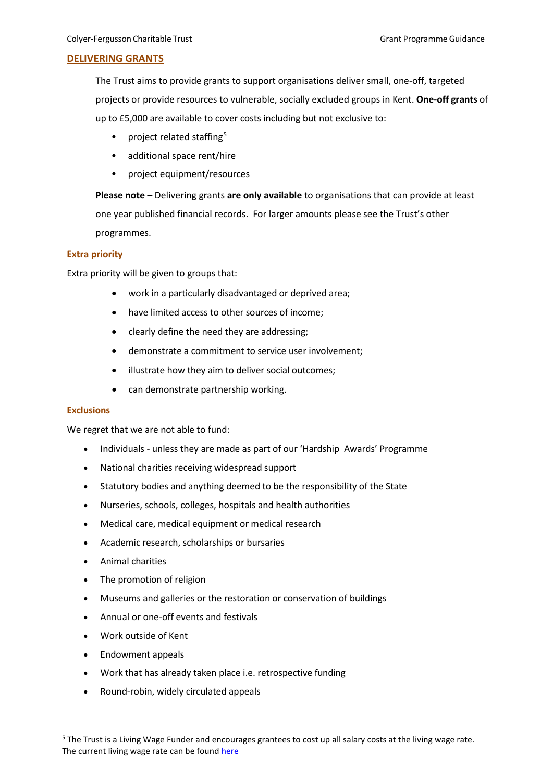# **DELIVERING GRANTS**

The Trust aims to provide grants to support organisations deliver small, one-off, targeted projects or provide resources to vulnerable, socially excluded groups in Kent. **One-off grants** of up to £5,000 are available to cover costs including but not exclusive to:

- project related staffing<sup>[5](#page-2-0)</sup>
- additional space rent/hire
- project equipment/resources

**Please note** – Delivering grants **are only available** to organisations that can provide at least one year published financial records. For larger amounts please see the Trust's other programmes.

## **Extra priority**

Extra priority will be given to groups that:

- work in a particularly disadvantaged or deprived area;
- have limited access to other sources of income;
- clearly define the need they are addressing;
- demonstrate a commitment to service user involvement;
- illustrate how they aim to deliver social outcomes;
- can demonstrate partnership working.

## **Exclusions**

We regret that we are not able to fund:

- Individuals unless they are made as part of our 'Hardship Awards' Programme
- National charities receiving widespread support
- Statutory bodies and anything deemed to be the responsibility of the State
- Nurseries, schools, colleges, hospitals and health authorities
- Medical care, medical equipment or medical research
- Academic research, scholarships or bursaries
- Animal charities
- The promotion of religion
- Museums and galleries or the restoration or conservation of buildings
- Annual or one-off events and festivals
- Work outside of Kent
- Endowment appeals
- Work that has already taken place i.e. retrospective funding
- Round-robin, widely circulated appeals

<span id="page-2-0"></span><sup>&</sup>lt;sup>5</sup> The Trust is a Living Wage Funder and encourages grantees to cost up all salary costs at the living wage rate. The current living wage rate can be foun[d here](https://www.livingwage.org.uk/what-real-living-wage)